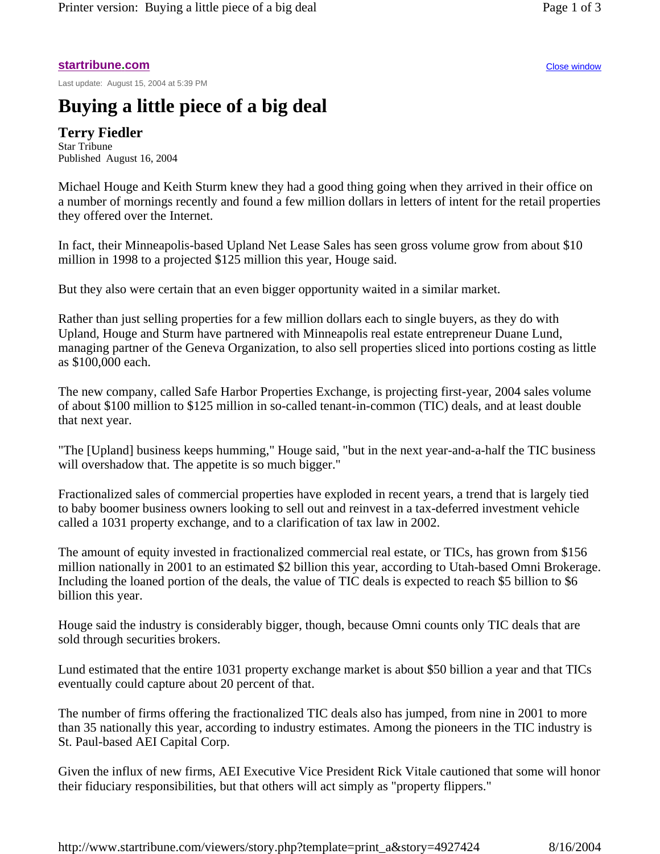## **startribune.com** Close window

Last update: August 15, 2004 at 5:39 PM

## **Buying a little piece of a big deal**

**Terry Fiedler**  Star Tribune Published August 16, 2004

Michael Houge and Keith Sturm knew they had a good thing going when they arrived in their office on a number of mornings recently and found a few million dollars in letters of intent for the retail properties they offered over the Internet.

In fact, their Minneapolis-based Upland Net Lease Sales has seen gross volume grow from about \$10 million in 1998 to a projected \$125 million this year, Houge said.

But they also were certain that an even bigger opportunity waited in a similar market.

Rather than just selling properties for a few million dollars each to single buyers, as they do with Upland, Houge and Sturm have partnered with Minneapolis real estate entrepreneur Duane Lund, managing partner of the Geneva Organization, to also sell properties sliced into portions costing as little as \$100,000 each.

The new company, called Safe Harbor Properties Exchange, is projecting first-year, 2004 sales volume of about \$100 million to \$125 million in so-called tenant-in-common (TIC) deals, and at least double that next year.

"The [Upland] business keeps humming," Houge said, "but in the next year-and-a-half the TIC business will overshadow that. The appetite is so much bigger."

Fractionalized sales of commercial properties have exploded in recent years, a trend that is largely tied to baby boomer business owners looking to sell out and reinvest in a tax-deferred investment vehicle called a 1031 property exchange, and to a clarification of tax law in 2002.

The amount of equity invested in fractionalized commercial real estate, or TICs, has grown from \$156 million nationally in 2001 to an estimated \$2 billion this year, according to Utah-based Omni Brokerage. Including the loaned portion of the deals, the value of TIC deals is expected to reach \$5 billion to \$6 billion this year.

Houge said the industry is considerably bigger, though, because Omni counts only TIC deals that are sold through securities brokers.

Lund estimated that the entire 1031 property exchange market is about \$50 billion a year and that TICs eventually could capture about 20 percent of that.

The number of firms offering the fractionalized TIC deals also has jumped, from nine in 2001 to more than 35 nationally this year, according to industry estimates. Among the pioneers in the TIC industry is St. Paul-based AEI Capital Corp.

Given the influx of new firms, AEI Executive Vice President Rick Vitale cautioned that some will honor their fiduciary responsibilities, but that others will act simply as "property flippers."

http://www.startribune.com/viewers/story.php?template=print\_a&story=4927424 8/16/2004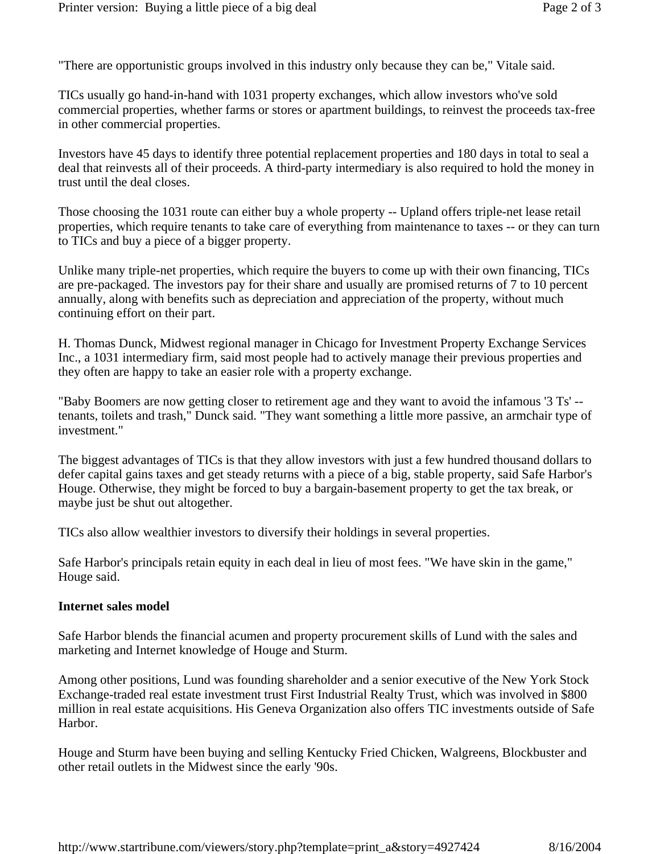"There are opportunistic groups involved in this industry only because they can be," Vitale said.

TICs usually go hand-in-hand with 1031 property exchanges, which allow investors who've sold commercial properties, whether farms or stores or apartment buildings, to reinvest the proceeds tax-free in other commercial properties.

Investors have 45 days to identify three potential replacement properties and 180 days in total to seal a deal that reinvests all of their proceeds. A third-party intermediary is also required to hold the money in trust until the deal closes.

Those choosing the 1031 route can either buy a whole property -- Upland offers triple-net lease retail properties, which require tenants to take care of everything from maintenance to taxes -- or they can turn to TICs and buy a piece of a bigger property.

Unlike many triple-net properties, which require the buyers to come up with their own financing, TICs are pre-packaged. The investors pay for their share and usually are promised returns of 7 to 10 percent annually, along with benefits such as depreciation and appreciation of the property, without much continuing effort on their part.

H. Thomas Dunck, Midwest regional manager in Chicago for Investment Property Exchange Services Inc., a 1031 intermediary firm, said most people had to actively manage their previous properties and they often are happy to take an easier role with a property exchange.

"Baby Boomers are now getting closer to retirement age and they want to avoid the infamous '3 Ts' - tenants, toilets and trash," Dunck said. "They want something a little more passive, an armchair type of investment."

The biggest advantages of TICs is that they allow investors with just a few hundred thousand dollars to defer capital gains taxes and get steady returns with a piece of a big, stable property, said Safe Harbor's Houge. Otherwise, they might be forced to buy a bargain-basement property to get the tax break, or maybe just be shut out altogether.

TICs also allow wealthier investors to diversify their holdings in several properties.

Safe Harbor's principals retain equity in each deal in lieu of most fees. "We have skin in the game," Houge said.

## **Internet sales model**

Safe Harbor blends the financial acumen and property procurement skills of Lund with the sales and marketing and Internet knowledge of Houge and Sturm.

Among other positions, Lund was founding shareholder and a senior executive of the New York Stock Exchange-traded real estate investment trust First Industrial Realty Trust, which was involved in \$800 million in real estate acquisitions. His Geneva Organization also offers TIC investments outside of Safe Harbor.

Houge and Sturm have been buying and selling Kentucky Fried Chicken, Walgreens, Blockbuster and other retail outlets in the Midwest since the early '90s.